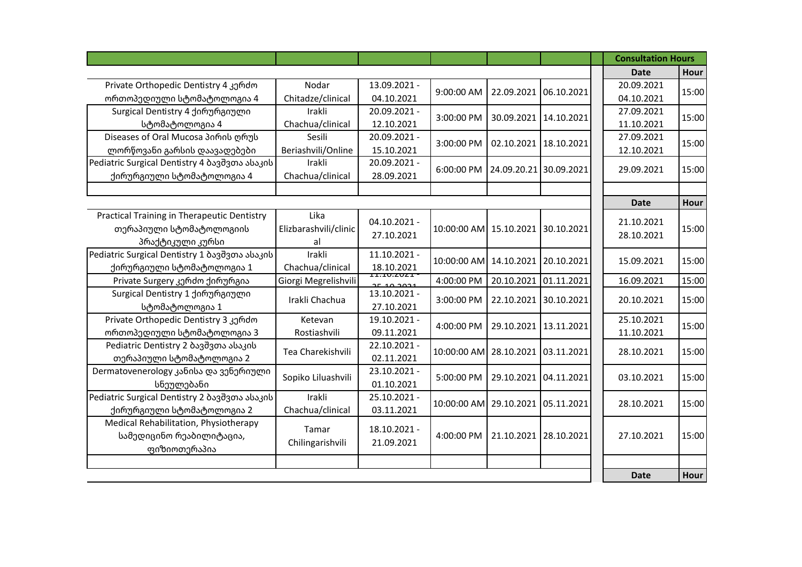|                                               |                                    |                           |                        |                         |                        | <b>Consultation Hours</b> |       |
|-----------------------------------------------|------------------------------------|---------------------------|------------------------|-------------------------|------------------------|---------------------------|-------|
|                                               |                                    |                           |                        |                         |                        | <b>Date</b>               | Hour  |
| Private Orthopedic Dentistry 4 30 mdm         | Nodar                              | 13.09.2021 -              |                        | 22.09.2021              |                        | 20.09.2021                | 15:00 |
| ორთოპედიული სტომატოლოგია 4                    | Chitadze/clinical                  | 04.10.2021                | 9:00:00 AM             |                         | 06.10.2021             | 04.10.2021                |       |
| Surgical Dentistry 4 ქირურგიული               | Irakli                             | 20.09.2021 -              | 3:00:00 PM             | 30.09.2021   14.10.2021 |                        | 27.09.2021                | 15:00 |
| სტომატოლოგია 4                                | Chachua/clinical                   | 12.10.2021                |                        |                         |                        | 11.10.2021                |       |
| Diseases of Oral Mucosa პირის ღრუს            | Sesili                             | 20.09.2021 -              | 3:00:00 PM             | 02.10.2021              | 18.10.2021             | 27.09.2021                | 15:00 |
| ლორწოვანი გარსის დაავადებები                  | Beriashvili/Online                 | 15.10.2021                |                        |                         |                        | 12.10.2021                |       |
| Pediatric Surgical Dentistry 4 ბავშვთა ასაკის | Irakli                             | 20.09.2021 -              | 6:00:00 PM             |                         | 24.09.20.21 30.09.2021 | 29.09.2021                | 15:00 |
| ქირურგიული სტომატოლოგია 4                     | Chachua/clinical                   | 28.09.2021                |                        |                         |                        |                           |       |
|                                               |                                    |                           |                        |                         |                        |                           |       |
|                                               |                                    |                           |                        |                         |                        | <b>Date</b>               | Hour  |
| Practical Training in Therapeutic Dentistry   | Lika                               | 04.10.2021 -              |                        |                         | 30.10.2021             | 21.10.2021                | 15:00 |
| თერაპიული სტომატოლოგიის                       | Elizbarashvili/clinic              | 27.10.2021                | 10:00:00 AM 15.10.2021 |                         |                        | 28.10.2021                |       |
| პრაქტიკული კურსი                              | al                                 |                           |                        |                         |                        |                           |       |
| Pediatric Surgical Dentistry 1 ბავშვთა ასაკის | Irakli                             | 11.10.2021 -              | 10:00:00 AM            | 14.10.2021              | 20.10.2021             | 15.09.2021                | 15:00 |
| ქირურგიული სტომატოლოგია 1                     | Chachua/clinical                   | 18.10.2021<br>11.1V.ZUZ 1 |                        |                         |                        |                           |       |
| Private Surgery კერძო ქირურგია                | Giorgi Megrelishvili               |                           | 4:00:00 PM             | 20.10.2021              | 01.11.2021             | 16.09.2021                | 15:00 |
| Surgical Dentistry 1 ქირურგიული               | Irakli Chachua                     | 13.10.2021 -              | 3:00:00 PM             | 22.10.2021              | 30.10.2021             | 20.10.2021                | 15:00 |
| სტომატოლოგია 1                                |                                    | 27.10.2021                |                        |                         |                        |                           |       |
| Private Orthopedic Dentistry 3 30 mdm         | Ketevan                            | 19.10.2021 -              | 4:00:00 PM             | 29.10.2021              | 13.11.2021             | 25.10.2021                | 15:00 |
| ორთოპედიული სტომატოლოგია 3                    | Rostiashvili                       | 09.11.2021                |                        |                         |                        | 11.10.2021                |       |
| Pediatric Dentistry 2 ბავშვთა ასაკის          | Tea Charekishvili                  | 22.10.2021 -              | 10:00:00 AM            | 28.10.2021              | 03.11.2021             | 28.10.2021                | 15:00 |
| თერაპიული სტომატოლოგია 2                      |                                    | 02.11.2021                |                        |                         |                        |                           |       |
| Dermatovenerology კანისა და ვენერიული         | 23.10.2021 -<br>Sopiko Liluashvili | 5:00:00 PM                | 29.10.2021             | 04.11.2021              | 03.10.2021             | 15:00                     |       |
| სნეულებანი                                    |                                    | 01.10.2021                |                        |                         |                        |                           |       |
| Pediatric Surgical Dentistry 2 ბავშვთა ასაკის | Irakli                             | 25.10.2021 -              | 10:00:00 AM            | 29.10.2021              | 05.11.2021             | 28.10.2021                | 15:00 |
| ქირურგიული სტომატოლოგია 2                     | Chachua/clinical                   | 03.11.2021                |                        |                         |                        |                           |       |
| Medical Rehabilitation, Physiotherapy         | Tamar                              | 18.10.2021 -              |                        |                         |                        |                           |       |
| სამედიცინო რეაბილიტაცია,                      | Chilingarishvili                   | 21.09.2021                | 4:00:00 PM             | 21.10.2021              | 28.10.2021             | 27.10.2021                | 15:00 |
| ფიზიოთერაპია                                  |                                    |                           |                        |                         |                        |                           |       |
|                                               |                                    |                           |                        |                         |                        |                           |       |
|                                               |                                    |                           |                        |                         |                        | <b>Date</b>               | Hour  |